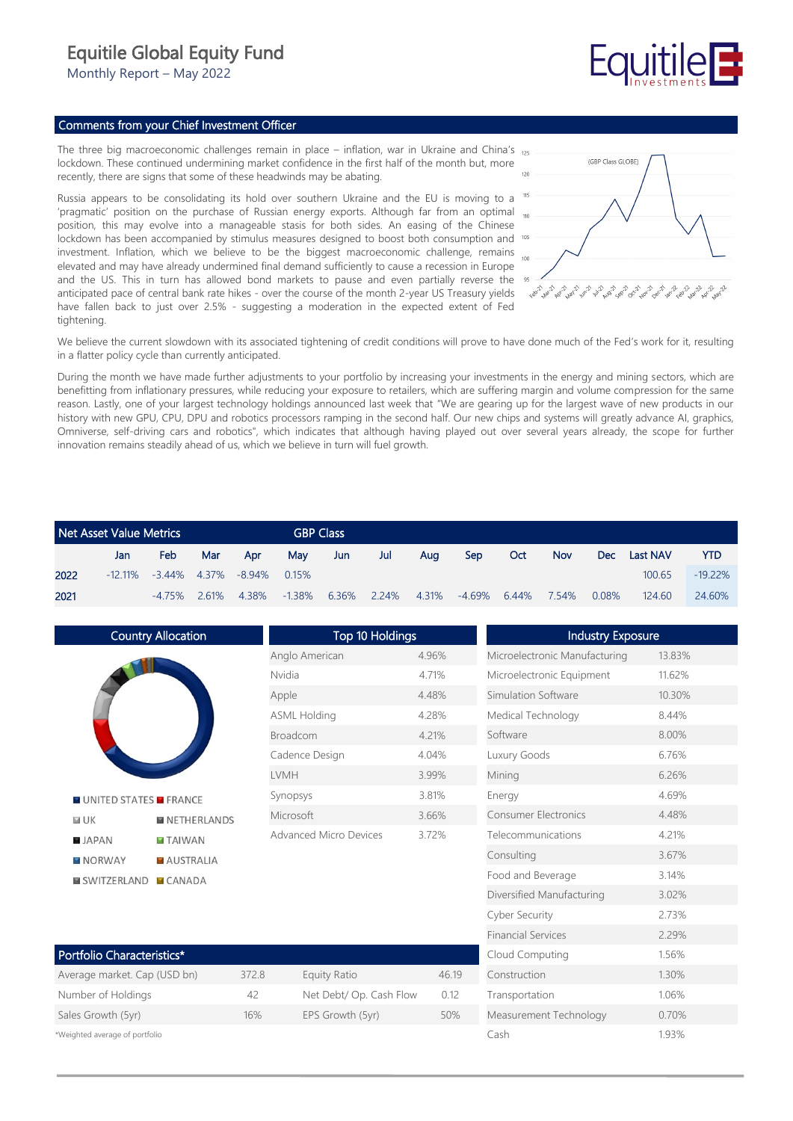## Equitile Global Equity Fund

Monthly Report – May 2022

# **Fauitile**

### Comments from your Chief Investment Officer

The three big macroeconomic challenges remain in place – inflation, war in Ukraine and China's 125 lockdown. These continued undermining market confidence in the first half of the month but, more recently, there are signs that some of these headwinds may be abating.

Russia appears to be consolidating its hold over southern Ukraine and the EU is moving to a 'pragmatic' position on the purchase of Russian energy exports. Although far from an optimal the position, this may evolve into a manageable stasis for both sides. An easing of the Chinese lockdown has been accompanied by stimulus measures designed to boost both consumption and <sup>105</sup> investment. Inflation, which we believe to be the biggest macroeconomic challenge, remains elevated and may have already undermined final demand sufficiently to cause a recession in Europe and the US. This in turn has allowed bond markets to pause and even partially reverse the anticipated pace of central bank rate hikes - over the course of the month 2-year US Treasury yields have fallen back to just over 2.5% - suggesting a moderation in the expected extent of Fed tightening.



Measurement Technology 0.70% Cash 1.93%

We believe the current slowdown with its associated tightening of credit conditions will prove to have done much of the Fed's work for it, resulting in a flatter policy cycle than currently anticipated.

During the month we have made further adjustments to your portfolio by increasing your investments in the energy and mining sectors, which are benefitting from inflationary pressures, while reducing your exposure to retailers, which are suffering margin and volume compression for the same reason. Lastly, one of your largest technology holdings announced last week that "We are gearing up for the largest wave of new products in our history with new GPU, CPU, DPU and robotics processors ramping in the second half. Our new chips and systems will greatly advance AI, graphics, Omniverse, self-driving cars and robotics", which indicates that although having played out over several years already, the scope for further innovation remains steadily ahead of us, which we believe in turn will fuel growth.

| Net Asset Value Metrics |     |                                         |     |       |          | <b>GBP Class</b> |       |       |            |       |            |          |                 |            |
|-------------------------|-----|-----------------------------------------|-----|-------|----------|------------------|-------|-------|------------|-------|------------|----------|-----------------|------------|
|                         | Jan | Feb                                     | Mar | Apr   | Mav      | Jun              | Jul   | Aua   | <b>Sep</b> | Oct   | <b>Nov</b> | Dec -    | <b>Last NAV</b> | <b>YTD</b> |
| 2022                    |     | $-12.11\%$ $-3.44\%$ $4.37\%$ $-8.94\%$ |     |       | $0.15\%$ |                  |       |       |            |       |            |          | 100.65          | $-19.22%$  |
| 2021                    |     | $-4.75\%$ 2.61%                         |     | 4.38% | -1.38%   | 6.36%            | 2.24% | 4.31% | -4.69%     | 6.44% | 7.54%      | $0.08\%$ | 124.60          | 24.60%     |

| <b>Country Allocation</b>            |             | Top 10 Holdings               |       | <b>Industry Exposure</b>      |        |  |  |
|--------------------------------------|-------------|-------------------------------|-------|-------------------------------|--------|--|--|
|                                      |             | Anglo American                | 4.96% | Microelectronic Manufacturing | 13.83% |  |  |
|                                      | Nvidia      |                               | 4.71% | Microelectronic Equipment     | 11.62% |  |  |
|                                      | Apple       |                               | 4.48% | Simulation Software           | 10.30% |  |  |
|                                      |             | <b>ASML Holding</b>           | 4.28% | Medical Technology            | 8.44%  |  |  |
|                                      | Broadcom    |                               | 4.21% | Software                      | 8.00%  |  |  |
|                                      |             | Cadence Design                | 4.04% | Luxury Goods                  | 6.76%  |  |  |
|                                      | <b>LVMH</b> |                               | 3.99% | Mining                        | 6.26%  |  |  |
| <b>MUNITED STATES MERANCE</b>        | Synopsys    |                               | 3.81% | Energy                        | 4.69%  |  |  |
| <b>MUK</b><br><b>NETHERLANDS</b>     | Microsoft   |                               | 3.66% | Consumer Electronics          | 4.48%  |  |  |
| <b>B</b> JAPAN<br><b>EXTAIWAN</b>    |             | <b>Advanced Micro Devices</b> | 3.72% | Telecommunications            | 4.21%  |  |  |
| <b>MAUSTRALIA</b><br><b>NORWAY</b>   |             |                               |       | Consulting                    | 3.67%  |  |  |
| <b>SWITZERLAND</b><br><b>ECANADA</b> |             |                               |       | Food and Beverage             | 3.14%  |  |  |
|                                      |             |                               |       | Diversified Manufacturing     | 3.02%  |  |  |
|                                      |             |                               |       | Cyber Security                | 2.73%  |  |  |
|                                      |             |                               |       | <b>Financial Services</b>     | 2.29%  |  |  |
| Portfolio Characteristics*           |             |                               |       | Cloud Computing               | 1.56%  |  |  |
| Average market. Cap (USD bn)         | 372.8       | <b>Equity Ratio</b>           | 46.19 | Construction                  | 1.30%  |  |  |
| Number of Holdings                   | 42          | Net Debt/ Op. Cash Flow       | 0.12  | Transportation                | 1.06%  |  |  |

| *Weighted average of portfolio |  |  |  |
|--------------------------------|--|--|--|
|--------------------------------|--|--|--|

Sales Growth (5yr) 16% EPS Growth (5yr) 50%